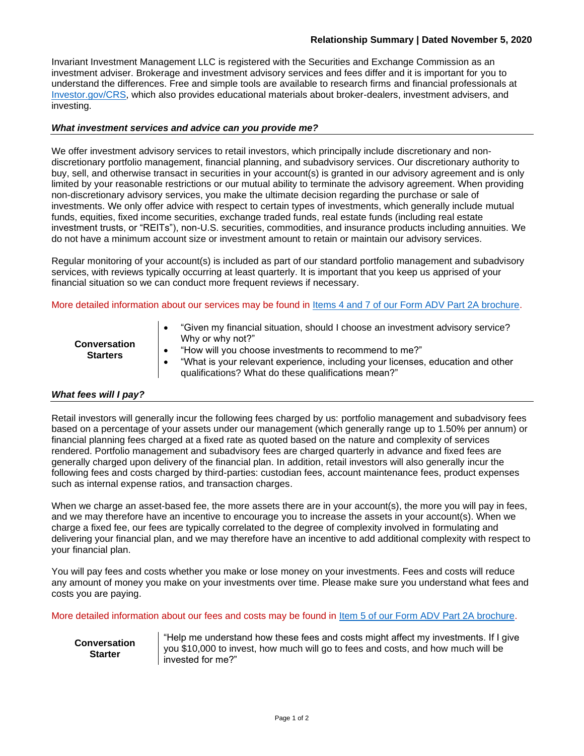Invariant Investment Management LLC is registered with the Securities and Exchange Commission as an investment adviser. Brokerage and investment advisory services and fees differ and it is important for you to understand the differences. Free and simple tools are available to research firms and financial professionals at [Investor.gov/CRS,](https://www.investor.gov/CRS) which also provides educational materials about broker-dealers, investment advisers, and investing.

# *What investment services and advice can you provide me?*

We offer investment advisory services to retail investors, which principally include discretionary and nondiscretionary portfolio management, financial planning, and subadvisory services. Our discretionary authority to buy, sell, and otherwise transact in securities in your account(s) is granted in our advisory agreement and is only limited by your reasonable restrictions or our mutual ability to terminate the advisory agreement. When providing non-discretionary advisory services, you make the ultimate decision regarding the purchase or sale of investments. We only offer advice with respect to certain types of investments, which generally include mutual funds, equities, fixed income securities, exchange traded funds, real estate funds (including real estate investment trusts, or "REITs"), non-U.S. securities, commodities, and insurance products including annuities. We do not have a minimum account size or investment amount to retain or maintain our advisory services.

Regular monitoring of your account(s) is included as part of our standard portfolio management and subadvisory services, with reviews typically occurring at least quarterly. It is important that you keep us apprised of your financial situation so we can conduct more frequent reviews if necessary.

More detailed information about our services may be found in [Items 4 and 7 of our Form ADV Part 2A brochure.](file://///server1/servershare/Compliance/CCO%20Books%20&%20Records/ADV/2020/2020%2007%2031%20ADV%20Part%202A%20Brochure%20-%20Invariant%20Investment%20Management%20LLC.pdf)

| <b>Conversation</b><br><b>Starters</b> | "Given my financial situation, should I choose an investment advisory service?<br>Why or why not?"<br>"How will you choose investments to recommend to me?"<br>"What is your relevant experience, including your licenses, education and other<br>qualifications? What do these qualifications mean?" |
|----------------------------------------|-------------------------------------------------------------------------------------------------------------------------------------------------------------------------------------------------------------------------------------------------------------------------------------------------------|
|----------------------------------------|-------------------------------------------------------------------------------------------------------------------------------------------------------------------------------------------------------------------------------------------------------------------------------------------------------|

## *What fees will I pay?*

Retail investors will generally incur the following fees charged by us: portfolio management and subadvisory fees based on a percentage of your assets under our management (which generally range up to 1.50% per annum) or financial planning fees charged at a fixed rate as quoted based on the nature and complexity of services rendered. Portfolio management and subadvisory fees are charged quarterly in advance and fixed fees are generally charged upon delivery of the financial plan. In addition, retail investors will also generally incur the following fees and costs charged by third-parties: custodian fees, account maintenance fees, product expenses such as internal expense ratios, and transaction charges.

When we charge an asset-based fee, the more assets there are in your account(s), the more you will pay in fees, and we may therefore have an incentive to encourage you to increase the assets in your account(s). When we charge a fixed fee, our fees are typically correlated to the degree of complexity involved in formulating and delivering your financial plan, and we may therefore have an incentive to add additional complexity with respect to your financial plan.

You will pay fees and costs whether you make or lose money on your investments. Fees and costs will reduce any amount of money you make on your investments over time. Please make sure you understand what fees and costs you are paying.

More detailed information about our fees and costs may be found in [Item 5 of our Form ADV Part 2A brochure.](file://///server1/servershare/Compliance/CCO%20Books%20&%20Records/ADV/2020/2020%2007%2031%20ADV%20Part%202A%20Brochure%20-%20Invariant%20Investment%20Management%20LLC.pdf)

**Conversation Starter**

"Help me understand how these fees and costs might affect my investments. If I give you \$10,000 to invest, how much will go to fees and costs, and how much will be invested for me?"